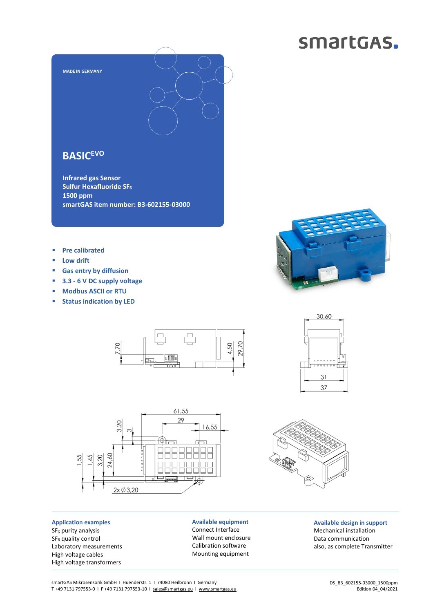## smartGAS.



**Infrared gas Sensor Sulfur Hexafluoride SF<sup>6</sup> 1500 ppm smartGAS item number: B3-602155-03000** 

- **Pre calibrated**
- **Low drift**
- **Gas entry by diffusion**
- **3.3 6 V DC supply voltage**
- **Modbus ASCII or RTU**
- **Status indication by LED**





**Application examples**  SF<sub>6</sub> purity analysis SF<sub>6</sub> quality control Laboratory measurements High voltage cables High voltage transformers

**Available equipment**  Connect Interface Wall mount enclosure Calibration software Mounting equipment







**Available design in support**  Mechanical installation Data communication also, as complete Transmitter